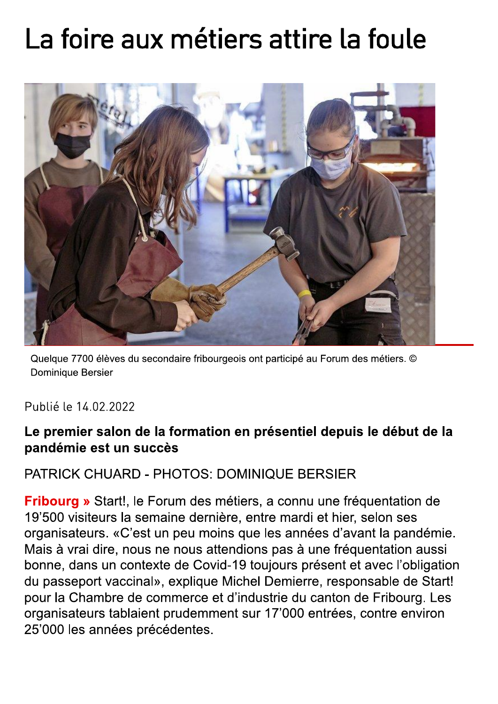# La foire aux métiers attire la foule



Quelque 7700 élèves du secondaire fribourgeois ont participé au Forum des métiers. © **Dominique Bersier** 

#### Publié le 14 02 2022

#### Le premier salon de la formation en présentiel depuis le début de la pandémie est un succès

#### PATRICK CHUARD - PHOTOS: DOMINIQUE BERSIER

Fribourg » Start!, le Forum des métiers, a connu une fréquentation de 19'500 visiteurs la semaine dernière, entre mardi et hier, selon ses organisateurs. «C'est un peu moins que les années d'avant la pandémie. Mais à vrai dire, nous ne nous attendions pas à une fréquentation aussi bonne, dans un contexte de Covid-19 toujours présent et avec l'obligation du passeport vaccinal», explique Michel Demierre, responsable de Start! pour la Chambre de commerce et d'industrie du canton de Fribourg. Les organisateurs tablaient prudemment sur 17'000 entrées, contre environ 25'000 les années précédentes.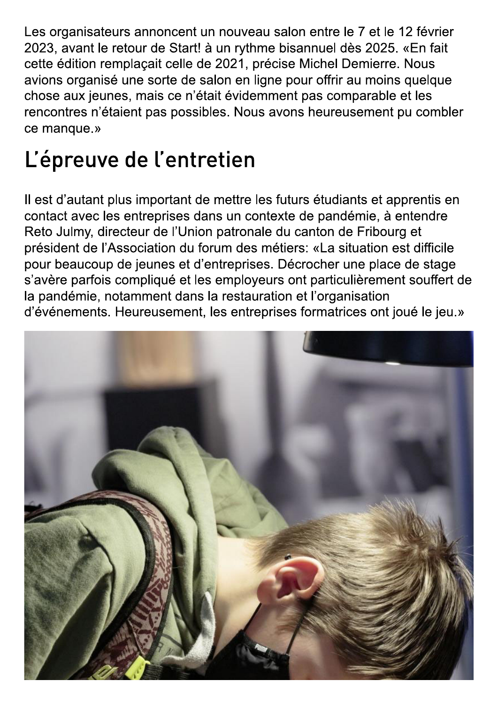Les organisateurs annoncent un nouveau salon entre le 7 et le 12 février 2023, avant le retour de Start! à un rythme bisannuel dès 2025. «En fait cette édition remplaçait celle de 2021, précise Michel Demierre. Nous avions organisé une sorte de salon en ligne pour offrir au moins quelque chose aux jeunes, mais ce n'était évidemment pas comparable et les rencontres n'étaient pas possibles. Nous avons heureusement pu combler ce manque.»

## L'épreuve de l'entretien

Il est d'autant plus important de mettre les futurs étudiants et apprentis en contact avec les entreprises dans un contexte de pandémie, à entendre Reto Julmy, directeur de l'Union patronale du canton de Fribourg et président de l'Association du forum des métiers: «La situation est difficile pour beaucoup de jeunes et d'entreprises. Décrocher une place de stage s'avère parfois compliqué et les employeurs ont particulièrement souffert de la pandémie, notamment dans la restauration et l'organisation d'événements. Heureusement, les entreprises formatrices ont joué le jeu.»

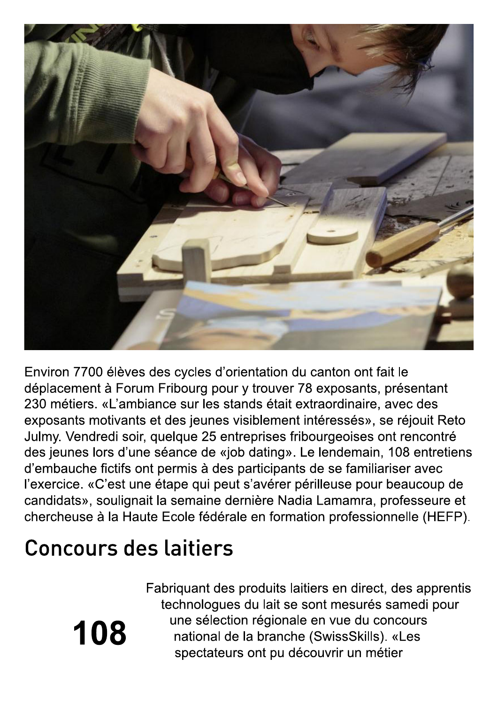

Environ 7700 élèves des cycles d'orientation du canton ont fait le déplacement à Forum Fribourg pour y trouver 78 exposants, présentant 230 métiers. «L'ambiance sur les stands était extraordinaire, avec des exposants motivants et des jeunes visiblement intéressés», se réjouit Reto Julmy. Vendredi soir, quelque 25 entreprises fribourgeoises ont rencontré des jeunes lors d'une séance de «job dating». Le lendemain, 108 entretiens d'embauche fictifs ont permis à des participants de se familiariser avec l'exercice. «C'est une étape qui peut s'avérer périlleuse pour beaucoup de candidats», soulignait la semaine dernière Nadia Lamamra, professeure et chercheuse à la Haute Ecole fédérale en formation professionnelle (HEFP).

### **Concours des laitiers**

108

Fabriquant des produits laitiers en direct, des apprentis technologues du lait se sont mesurés samedi pour une sélection régionale en vue du concours national de la branche (SwissSkills). «Les spectateurs ont pu découvrir un métier